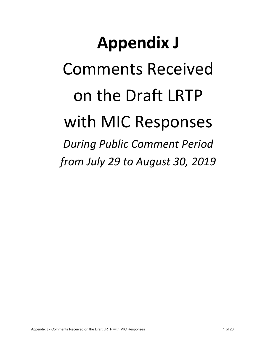## **Appendix J** Comments Received on the Draft LRTP with MIC Responses *During Public Comment Period*

*from July 29 to August 30, 2019*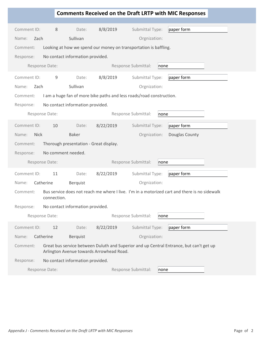|                      |                    |                                        |                                          |                                                                      | <b>Comments Received on the Draft LRTP with MIC Responses</b>                                |
|----------------------|--------------------|----------------------------------------|------------------------------------------|----------------------------------------------------------------------|----------------------------------------------------------------------------------------------|
| Comment ID:          | 8                  | Date:                                  | 8/8/2019                                 | Submittal Type:                                                      | paper form                                                                                   |
| Name:<br>Zach        |                    | Sullivan                               |                                          | Orgnization:                                                         |                                                                                              |
| Comment:             |                    |                                        |                                          | Looking at how we spend our money on transportation is baffling.     |                                                                                              |
| Response:            |                    | No contact information provided.       |                                          |                                                                      |                                                                                              |
|                      | Response Date:     |                                        |                                          | Response Submittal:<br>none                                          |                                                                                              |
|                      |                    |                                        |                                          |                                                                      |                                                                                              |
| Comment ID:          | 9                  | Date:                                  | 8/8/2019                                 | Submittal Type:                                                      | paper form                                                                                   |
| Zach<br>Name:        |                    | Sullivan                               |                                          | Orgnization:                                                         |                                                                                              |
| Comment:             |                    |                                        |                                          | I am a huge fan of more bike paths and less roads/road construction. |                                                                                              |
| Response:            |                    | No contact information provided.       |                                          |                                                                      |                                                                                              |
|                      | Response Date:     |                                        |                                          | Response Submittal:<br>none                                          |                                                                                              |
| Comment ID:          | 10                 | Date:                                  | 8/22/2019                                | Submittal Type:                                                      | paper form                                                                                   |
| <b>Nick</b><br>Name: |                    | <b>Baker</b>                           |                                          | Orgnization:                                                         | Douglas County                                                                               |
| Comment:             |                    | Thorough presentation - Great display. |                                          |                                                                      |                                                                                              |
| Response:            | No comment needed. |                                        |                                          |                                                                      |                                                                                              |
|                      | Response Date:     |                                        |                                          | Response Submittal:<br>none                                          |                                                                                              |
| Comment ID:          | 11                 | Date:                                  | 8/22/2019                                | Submittal Type:                                                      | paper form                                                                                   |
| Name:                | Catherine          | Berquist                               |                                          | Orgnization:                                                         |                                                                                              |
| Comment:             | connection.        |                                        |                                          |                                                                      | Bus service does not reach me where I live. I'm in a motorized cart and there is no sidewalk |
| Response:            |                    | No contact information provided.       |                                          |                                                                      |                                                                                              |
|                      | Response Date:     |                                        |                                          | Response Submittal:<br>none                                          |                                                                                              |
| Comment ID:          | 12                 | Date:                                  | 8/22/2019                                | Submittal Type:                                                      | paper form                                                                                   |
| Name:                | Catherine          | Berquist                               |                                          | Orgnization:                                                         |                                                                                              |
| Comment:             |                    |                                        | Arlington Avenue towards Arrowhead Road. |                                                                      | Great bus service between Duluth and Superior and up Central Entrance, but can't get up      |
| Response:            |                    | No contact information provided.       |                                          |                                                                      |                                                                                              |
|                      | Response Date:     |                                        |                                          | Response Submittal:<br>none                                          |                                                                                              |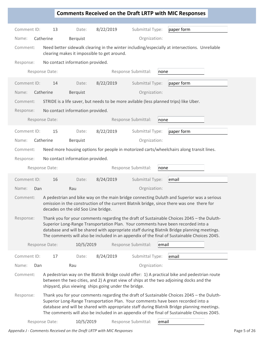|                                               |                                                                                                                                                                                                                                                                                                                                                                             |                                     |                                                      |                                                                                       | <b>Comments Received on the Draft LRTP with MIC Responses</b>                                                                                                                                                                                                                                                                                                               |  |  |
|-----------------------------------------------|-----------------------------------------------------------------------------------------------------------------------------------------------------------------------------------------------------------------------------------------------------------------------------------------------------------------------------------------------------------------------------|-------------------------------------|------------------------------------------------------|---------------------------------------------------------------------------------------|-----------------------------------------------------------------------------------------------------------------------------------------------------------------------------------------------------------------------------------------------------------------------------------------------------------------------------------------------------------------------------|--|--|
|                                               |                                                                                                                                                                                                                                                                                                                                                                             |                                     |                                                      |                                                                                       |                                                                                                                                                                                                                                                                                                                                                                             |  |  |
| Comment ID:                                   | 13                                                                                                                                                                                                                                                                                                                                                                          | Date:                               | 8/22/2019                                            | Submittal Type:                                                                       | paper form                                                                                                                                                                                                                                                                                                                                                                  |  |  |
| Name:                                         | Catherine                                                                                                                                                                                                                                                                                                                                                                   | Berquist                            |                                                      | Orgnization:                                                                          |                                                                                                                                                                                                                                                                                                                                                                             |  |  |
| Comment:                                      |                                                                                                                                                                                                                                                                                                                                                                             |                                     | clearing makes it impossible to get around.          |                                                                                       | Need better sidewalk clearing in the winter including/especially at intersections. Unreliable                                                                                                                                                                                                                                                                               |  |  |
| Response:                                     |                                                                                                                                                                                                                                                                                                                                                                             | No contact information provided.    |                                                      |                                                                                       |                                                                                                                                                                                                                                                                                                                                                                             |  |  |
|                                               | Response Date:                                                                                                                                                                                                                                                                                                                                                              |                                     |                                                      | Response Submittal:<br>none                                                           |                                                                                                                                                                                                                                                                                                                                                                             |  |  |
| Comment ID:                                   | 14                                                                                                                                                                                                                                                                                                                                                                          | Date:                               | 8/22/2019                                            | Submittal Type:                                                                       | paper form                                                                                                                                                                                                                                                                                                                                                                  |  |  |
| Name:                                         | Catherine                                                                                                                                                                                                                                                                                                                                                                   | Berquist                            |                                                      | Orgnization:                                                                          |                                                                                                                                                                                                                                                                                                                                                                             |  |  |
| Comment:                                      |                                                                                                                                                                                                                                                                                                                                                                             |                                     |                                                      | STRIDE is a life saver, but needs to be more avilable (less planned trips) like Uber. |                                                                                                                                                                                                                                                                                                                                                                             |  |  |
| No contact information provided.<br>Response: |                                                                                                                                                                                                                                                                                                                                                                             |                                     |                                                      |                                                                                       |                                                                                                                                                                                                                                                                                                                                                                             |  |  |
|                                               | Response Date:                                                                                                                                                                                                                                                                                                                                                              |                                     |                                                      | Response Submittal:<br>none                                                           |                                                                                                                                                                                                                                                                                                                                                                             |  |  |
| Comment ID:                                   | 15                                                                                                                                                                                                                                                                                                                                                                          | Date:                               | 8/22/2019                                            | Submittal Type:                                                                       | paper form                                                                                                                                                                                                                                                                                                                                                                  |  |  |
| Name:                                         | Catherine                                                                                                                                                                                                                                                                                                                                                                   | Berquist                            |                                                      | Orgnization:                                                                          |                                                                                                                                                                                                                                                                                                                                                                             |  |  |
| Comment:                                      |                                                                                                                                                                                                                                                                                                                                                                             |                                     |                                                      |                                                                                       | Need more housing options for people in motorized carts/wheelchairs along transit lines.                                                                                                                                                                                                                                                                                    |  |  |
| Response:                                     |                                                                                                                                                                                                                                                                                                                                                                             | No contact information provided.    |                                                      |                                                                                       |                                                                                                                                                                                                                                                                                                                                                                             |  |  |
|                                               | Response Date:                                                                                                                                                                                                                                                                                                                                                              |                                     |                                                      | Response Submittal:<br>none                                                           |                                                                                                                                                                                                                                                                                                                                                                             |  |  |
| Comment ID:                                   | 16                                                                                                                                                                                                                                                                                                                                                                          | Date:                               | 8/24/2019                                            | Submittal Type:                                                                       | email                                                                                                                                                                                                                                                                                                                                                                       |  |  |
| Name:<br>Dan                                  |                                                                                                                                                                                                                                                                                                                                                                             | Rau                                 |                                                      | Orgnization:                                                                          |                                                                                                                                                                                                                                                                                                                                                                             |  |  |
| Comment:                                      |                                                                                                                                                                                                                                                                                                                                                                             | decades on the old Soo Line bridge. |                                                      |                                                                                       | A pedestrian and bike way on the main bridge connecting Duluth and Superior was a serious<br>omission in the construction of the current Blatnik bridge, since there was one there for                                                                                                                                                                                      |  |  |
| Response:                                     | Thank you for your comments regarding the draft of Sustainable Choices 2045 - the Duluth-<br>Superior Long-Range Transportation Plan. Your comments have been recorded into a<br>database and will be shared with appropriate staff during Blatnik Bridge planning meetings.<br>The comments will also be included in an appendix of the final of Sustainable Choices 2045. |                                     |                                                      |                                                                                       |                                                                                                                                                                                                                                                                                                                                                                             |  |  |
|                                               |                                                                                                                                                                                                                                                                                                                                                                             |                                     |                                                      |                                                                                       |                                                                                                                                                                                                                                                                                                                                                                             |  |  |
|                                               | Response Date:                                                                                                                                                                                                                                                                                                                                                              | 10/5/2019                           |                                                      | Response Submittal:<br>email                                                          |                                                                                                                                                                                                                                                                                                                                                                             |  |  |
| Comment ID:                                   | 17                                                                                                                                                                                                                                                                                                                                                                          | Date:                               | 8/24/2019                                            | Submittal Type:                                                                       | email                                                                                                                                                                                                                                                                                                                                                                       |  |  |
| Name:<br>Dan                                  |                                                                                                                                                                                                                                                                                                                                                                             | Rau                                 |                                                      | Orgnization:                                                                          |                                                                                                                                                                                                                                                                                                                                                                             |  |  |
| Comment:                                      |                                                                                                                                                                                                                                                                                                                                                                             |                                     | shipyard, plus viewing ships going under the bridge. |                                                                                       | A pedestrian way on the Blatnik Bridge could offer: 1) A practical bike and pedestrian route<br>between the two cities, and 2) A great view of ships at the two adjoining docks and the                                                                                                                                                                                     |  |  |
| Response:                                     |                                                                                                                                                                                                                                                                                                                                                                             |                                     |                                                      |                                                                                       | Thank you for your comments regarding the draft of Sustainable Choices 2045 - the Duluth-<br>Superior Long-Range Transportation Plan. Your comments have been recorded into a<br>database and will be shared with appropriate staff during Blatnik Bridge planning meetings.<br>The comments will also be included in an appendix of the final of Sustainable Choices 2045. |  |  |

Appendix J - Comments Received on the Draft LRTP with MIC Responses **Page 1 and 20 and 20 and 20 and 20 and 20** Page 5 of 26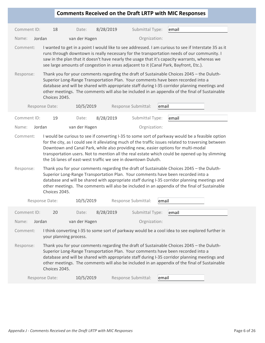| Comment ID:<br>18<br>8/28/2019<br>Submittal Type:<br>Date:<br>email<br>Orgnization:<br>Name:<br>van der Hagen<br>Jordan<br>Comment:<br>runs through downtown is really necessary for the transportation needs of our community. I<br>saw in the plan that it doesn't have nearly the usage that it's capacity warrants, whereas we<br>see large amounts of congestion in areas adjacent to it (Canal Park, Bayfront, Etc.).<br>Response:<br>Thank you for your comments regarding the draft of Sustainable Choices 2045 - the Duluth-<br>Superior Long-Range Transportation Plan. Your comments have been recorded into a<br>database and will be shared with appropriate staff during I-35 corridor planning meetings and<br>other meetings. The comments will also be included in an appendix of the final of Sustainable<br>Choices 2045.<br>Response Date:<br>10/5/2019<br>Response Submittal:<br>email<br>8/28/2019<br>Comment ID:<br>19<br>Submittal Type:<br>email<br>Date:<br>Jordan<br>van der Hagen<br>Orgnization:<br>Name:<br>Comment:<br>I would be curious to see if converting I-35 to some sort of parkway would be a feasible option<br>for the city, as I could see it alleviating much of the traffic issues related to traversing between<br>Downtown and Canal Park, while also providing new, easier options for multi-modal<br>transportation users. Not to mention all the real estate which could be opened up by slimming<br>the 16 lanes of east-west traffic we see in downtown Duluth.<br>Thank you for your comments regarding the draft of Sustainable Choices 2045 - the Duluth-<br>Response:<br>Superior Long-Range Transportation Plan. Your comments have been recorded into a<br>database and will be shared with appropriate staff during I-35 corridor planning meetings and<br>other meetings. The comments will also be included in an appendix of the final of Sustainable<br>Choices 2045.<br>10/5/2019<br>Response Submittal:<br>Response Date:<br>email<br>Comment ID:<br>8/28/2019<br>Submittal Type:<br>email<br>20<br>Date:<br>Orgnization:<br>Jordan<br>Name:<br>van der Hagen<br>Comment:<br>I think converting I-35 to some sort of parkway would be a cool idea to see explored further in<br>your planning process.<br>Response:<br>Thank you for your comments regarding the draft of Sustainable Choices 2045 - the Duluth-<br>Superior Long-Range Transportation Plan. Your comments have been recorded into a<br>database and will be shared with appropriate staff during I-35 corridor planning meetings and<br>other meetings. The comments will also be included in an appendix of the final of Sustainable<br>Choices 2045.<br>10/5/2019<br>Response Submittal:<br>Response Date:<br>email |  |  |  |  | <b>Comments Received on the Draft LRTP with MIC Responses</b> |  |
|---------------------------------------------------------------------------------------------------------------------------------------------------------------------------------------------------------------------------------------------------------------------------------------------------------------------------------------------------------------------------------------------------------------------------------------------------------------------------------------------------------------------------------------------------------------------------------------------------------------------------------------------------------------------------------------------------------------------------------------------------------------------------------------------------------------------------------------------------------------------------------------------------------------------------------------------------------------------------------------------------------------------------------------------------------------------------------------------------------------------------------------------------------------------------------------------------------------------------------------------------------------------------------------------------------------------------------------------------------------------------------------------------------------------------------------------------------------------------------------------------------------------------------------------------------------------------------------------------------------------------------------------------------------------------------------------------------------------------------------------------------------------------------------------------------------------------------------------------------------------------------------------------------------------------------------------------------------------------------------------------------------------------------------------------------------------------------------------------------------------------------------------------------------------------------------------------------------------------------------------------------------------------------------------------------------------------------------------------------------------------------------------------------------------------------------------------------------------------------------------------------------------------------------------------------------------------------------------------------------------------------------------------------------------------------------------------------------------------------------------------------|--|--|--|--|---------------------------------------------------------------|--|
|                                                                                                                                                                                                                                                                                                                                                                                                                                                                                                                                                                                                                                                                                                                                                                                                                                                                                                                                                                                                                                                                                                                                                                                                                                                                                                                                                                                                                                                                                                                                                                                                                                                                                                                                                                                                                                                                                                                                                                                                                                                                                                                                                                                                                                                                                                                                                                                                                                                                                                                                                                                                                                                                                                                                                         |  |  |  |  |                                                               |  |
|                                                                                                                                                                                                                                                                                                                                                                                                                                                                                                                                                                                                                                                                                                                                                                                                                                                                                                                                                                                                                                                                                                                                                                                                                                                                                                                                                                                                                                                                                                                                                                                                                                                                                                                                                                                                                                                                                                                                                                                                                                                                                                                                                                                                                                                                                                                                                                                                                                                                                                                                                                                                                                                                                                                                                         |  |  |  |  |                                                               |  |
| I wanted to get in a point I would like to see addressed. I am curious to see if Interstate 35 as it                                                                                                                                                                                                                                                                                                                                                                                                                                                                                                                                                                                                                                                                                                                                                                                                                                                                                                                                                                                                                                                                                                                                                                                                                                                                                                                                                                                                                                                                                                                                                                                                                                                                                                                                                                                                                                                                                                                                                                                                                                                                                                                                                                                                                                                                                                                                                                                                                                                                                                                                                                                                                                                    |  |  |  |  |                                                               |  |
|                                                                                                                                                                                                                                                                                                                                                                                                                                                                                                                                                                                                                                                                                                                                                                                                                                                                                                                                                                                                                                                                                                                                                                                                                                                                                                                                                                                                                                                                                                                                                                                                                                                                                                                                                                                                                                                                                                                                                                                                                                                                                                                                                                                                                                                                                                                                                                                                                                                                                                                                                                                                                                                                                                                                                         |  |  |  |  |                                                               |  |
|                                                                                                                                                                                                                                                                                                                                                                                                                                                                                                                                                                                                                                                                                                                                                                                                                                                                                                                                                                                                                                                                                                                                                                                                                                                                                                                                                                                                                                                                                                                                                                                                                                                                                                                                                                                                                                                                                                                                                                                                                                                                                                                                                                                                                                                                                                                                                                                                                                                                                                                                                                                                                                                                                                                                                         |  |  |  |  |                                                               |  |
|                                                                                                                                                                                                                                                                                                                                                                                                                                                                                                                                                                                                                                                                                                                                                                                                                                                                                                                                                                                                                                                                                                                                                                                                                                                                                                                                                                                                                                                                                                                                                                                                                                                                                                                                                                                                                                                                                                                                                                                                                                                                                                                                                                                                                                                                                                                                                                                                                                                                                                                                                                                                                                                                                                                                                         |  |  |  |  |                                                               |  |
|                                                                                                                                                                                                                                                                                                                                                                                                                                                                                                                                                                                                                                                                                                                                                                                                                                                                                                                                                                                                                                                                                                                                                                                                                                                                                                                                                                                                                                                                                                                                                                                                                                                                                                                                                                                                                                                                                                                                                                                                                                                                                                                                                                                                                                                                                                                                                                                                                                                                                                                                                                                                                                                                                                                                                         |  |  |  |  |                                                               |  |
|                                                                                                                                                                                                                                                                                                                                                                                                                                                                                                                                                                                                                                                                                                                                                                                                                                                                                                                                                                                                                                                                                                                                                                                                                                                                                                                                                                                                                                                                                                                                                                                                                                                                                                                                                                                                                                                                                                                                                                                                                                                                                                                                                                                                                                                                                                                                                                                                                                                                                                                                                                                                                                                                                                                                                         |  |  |  |  |                                                               |  |
|                                                                                                                                                                                                                                                                                                                                                                                                                                                                                                                                                                                                                                                                                                                                                                                                                                                                                                                                                                                                                                                                                                                                                                                                                                                                                                                                                                                                                                                                                                                                                                                                                                                                                                                                                                                                                                                                                                                                                                                                                                                                                                                                                                                                                                                                                                                                                                                                                                                                                                                                                                                                                                                                                                                                                         |  |  |  |  |                                                               |  |
|                                                                                                                                                                                                                                                                                                                                                                                                                                                                                                                                                                                                                                                                                                                                                                                                                                                                                                                                                                                                                                                                                                                                                                                                                                                                                                                                                                                                                                                                                                                                                                                                                                                                                                                                                                                                                                                                                                                                                                                                                                                                                                                                                                                                                                                                                                                                                                                                                                                                                                                                                                                                                                                                                                                                                         |  |  |  |  |                                                               |  |
|                                                                                                                                                                                                                                                                                                                                                                                                                                                                                                                                                                                                                                                                                                                                                                                                                                                                                                                                                                                                                                                                                                                                                                                                                                                                                                                                                                                                                                                                                                                                                                                                                                                                                                                                                                                                                                                                                                                                                                                                                                                                                                                                                                                                                                                                                                                                                                                                                                                                                                                                                                                                                                                                                                                                                         |  |  |  |  |                                                               |  |
|                                                                                                                                                                                                                                                                                                                                                                                                                                                                                                                                                                                                                                                                                                                                                                                                                                                                                                                                                                                                                                                                                                                                                                                                                                                                                                                                                                                                                                                                                                                                                                                                                                                                                                                                                                                                                                                                                                                                                                                                                                                                                                                                                                                                                                                                                                                                                                                                                                                                                                                                                                                                                                                                                                                                                         |  |  |  |  |                                                               |  |
|                                                                                                                                                                                                                                                                                                                                                                                                                                                                                                                                                                                                                                                                                                                                                                                                                                                                                                                                                                                                                                                                                                                                                                                                                                                                                                                                                                                                                                                                                                                                                                                                                                                                                                                                                                                                                                                                                                                                                                                                                                                                                                                                                                                                                                                                                                                                                                                                                                                                                                                                                                                                                                                                                                                                                         |  |  |  |  |                                                               |  |
|                                                                                                                                                                                                                                                                                                                                                                                                                                                                                                                                                                                                                                                                                                                                                                                                                                                                                                                                                                                                                                                                                                                                                                                                                                                                                                                                                                                                                                                                                                                                                                                                                                                                                                                                                                                                                                                                                                                                                                                                                                                                                                                                                                                                                                                                                                                                                                                                                                                                                                                                                                                                                                                                                                                                                         |  |  |  |  |                                                               |  |
|                                                                                                                                                                                                                                                                                                                                                                                                                                                                                                                                                                                                                                                                                                                                                                                                                                                                                                                                                                                                                                                                                                                                                                                                                                                                                                                                                                                                                                                                                                                                                                                                                                                                                                                                                                                                                                                                                                                                                                                                                                                                                                                                                                                                                                                                                                                                                                                                                                                                                                                                                                                                                                                                                                                                                         |  |  |  |  |                                                               |  |
|                                                                                                                                                                                                                                                                                                                                                                                                                                                                                                                                                                                                                                                                                                                                                                                                                                                                                                                                                                                                                                                                                                                                                                                                                                                                                                                                                                                                                                                                                                                                                                                                                                                                                                                                                                                                                                                                                                                                                                                                                                                                                                                                                                                                                                                                                                                                                                                                                                                                                                                                                                                                                                                                                                                                                         |  |  |  |  |                                                               |  |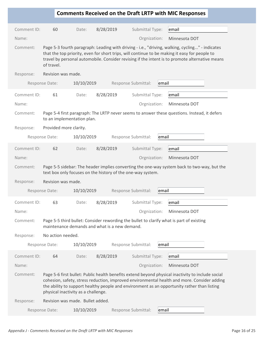|             |                        |                                                             |           |                     |       | <b>Comments Received on the Draft LRTP with MIC Responses</b>                                                                                                                                                                                                                                      |  |
|-------------|------------------------|-------------------------------------------------------------|-----------|---------------------|-------|----------------------------------------------------------------------------------------------------------------------------------------------------------------------------------------------------------------------------------------------------------------------------------------------------|--|
|             |                        |                                                             |           |                     |       |                                                                                                                                                                                                                                                                                                    |  |
| Comment ID: | 60                     | Date:                                                       | 8/28/2019 | Submittal Type:     |       | email                                                                                                                                                                                                                                                                                              |  |
| Name:       |                        |                                                             |           | Orgnization:        |       | Minnesota DOT                                                                                                                                                                                                                                                                                      |  |
| Comment:    | of travel.             |                                                             |           |                     |       | Page 5-3 fourth paragraph: Leading with driving - i.e., "driving, walking, cycling" - indicates<br>that the top priority, even for short trips, will continue to be making it easy for people to<br>travel by personal automobile. Consider revising if the intent is to promote alternative means |  |
| Response:   | Revision was made.     |                                                             |           |                     |       |                                                                                                                                                                                                                                                                                                    |  |
|             | Response Date:         | 10/10/2019                                                  |           | Response Submittal: | email |                                                                                                                                                                                                                                                                                                    |  |
| Comment ID: | 61                     | Date:                                                       | 8/28/2019 | Submittal Type:     |       | email                                                                                                                                                                                                                                                                                              |  |
| Name:       |                        |                                                             |           | Orgnization:        |       | Minnesota DOT                                                                                                                                                                                                                                                                                      |  |
| Comment:    |                        | to an implementation plan.                                  |           |                     |       | Page 5-4 first paragraph: The LRTP never seems to answer these questions. Instead, it defers                                                                                                                                                                                                       |  |
| Response:   | Provided more clarity. |                                                             |           |                     |       |                                                                                                                                                                                                                                                                                                    |  |
|             | Response Date:         | 10/10/2019                                                  |           | Response Submittal: | email |                                                                                                                                                                                                                                                                                                    |  |
| Comment ID: | 62                     | Date:                                                       | 8/28/2019 | Submittal Type:     |       | email                                                                                                                                                                                                                                                                                              |  |
| Name:       |                        |                                                             |           | Orgnization:        |       | Minnesota DOT                                                                                                                                                                                                                                                                                      |  |
| Comment:    | Revision was made.     | text box only focuses on the history of the one-way system. |           |                     |       | Page 5-5 sidebar: The header implies converting the one-way system back to two-way, but the                                                                                                                                                                                                        |  |
| Response:   |                        |                                                             |           | Response Submittal: |       |                                                                                                                                                                                                                                                                                                    |  |
|             | Response Date:         | 10/10/2019                                                  |           |                     | email |                                                                                                                                                                                                                                                                                                    |  |
| Comment ID: | 63                     | Date:                                                       | 8/28/2019 | Submittal Type:     |       | email                                                                                                                                                                                                                                                                                              |  |
| Name:       |                        |                                                             |           | Orgnization:        |       | Minnesota DOT                                                                                                                                                                                                                                                                                      |  |
| Comment:    |                        | maintenance demands and what is a new demand.               |           |                     |       | Page 5-5 third bullet: Consider rewording the bullet to clarify what is part of existing                                                                                                                                                                                                           |  |
| Response:   | No action needed.      |                                                             |           |                     |       |                                                                                                                                                                                                                                                                                                    |  |
|             | Response Date:         | 10/10/2019                                                  |           | Response Submittal: | email |                                                                                                                                                                                                                                                                                                    |  |
| Comment ID: | 64                     | Date:                                                       | 8/28/2019 | Submittal Type:     |       | email                                                                                                                                                                                                                                                                                              |  |
| Name:       |                        |                                                             |           | Orgnization:        |       | Minnesota DOT                                                                                                                                                                                                                                                                                      |  |
| Comment:    |                        | physical inactivity as a challenge.                         |           |                     |       | Page 5-6 first bullet: Public health benefits extend beyond physical inactivity to include social<br>cohesion, safety, stress reduction, improved environmental health and more. Consider adding<br>the ability to support healthy people and environment as an opportunity rather than listing    |  |
| Response:   |                        | Revision was made. Bullet added.                            |           |                     |       |                                                                                                                                                                                                                                                                                                    |  |
|             | Response Date:         | 10/10/2019                                                  |           | Response Submittal: | email |                                                                                                                                                                                                                                                                                                    |  |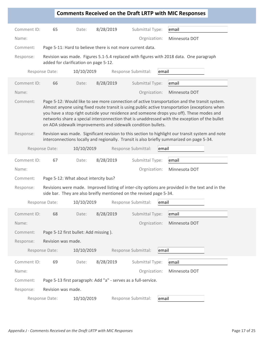|             |                    |                                                                     |           |                     | <b>Comments Received on the Draft LRTP with MIC Responses</b>                                                                                                                                                                                                                                                                                                                                |
|-------------|--------------------|---------------------------------------------------------------------|-----------|---------------------|----------------------------------------------------------------------------------------------------------------------------------------------------------------------------------------------------------------------------------------------------------------------------------------------------------------------------------------------------------------------------------------------|
|             |                    |                                                                     |           |                     |                                                                                                                                                                                                                                                                                                                                                                                              |
| Comment ID: | 65                 | Date:                                                               | 8/28/2019 | Submittal Type:     | email                                                                                                                                                                                                                                                                                                                                                                                        |
| Name:       |                    |                                                                     |           | Orgnization:        | Minnesota DOT                                                                                                                                                                                                                                                                                                                                                                                |
| Comment:    |                    | Page 5-11: Hard to believe there is not more current data.          |           |                     |                                                                                                                                                                                                                                                                                                                                                                                              |
| Response:   |                    | added for clarification on page 5-12.                               |           |                     | Revision was made. Figures 5.1-5.4 replaced with figures with 2018 data. One paragraph                                                                                                                                                                                                                                                                                                       |
|             | Response Date:     | 10/10/2019                                                          |           | Response Submittal: | email                                                                                                                                                                                                                                                                                                                                                                                        |
| Comment ID: | 66                 | Date:                                                               | 8/28/2019 | Submittal Type:     | email                                                                                                                                                                                                                                                                                                                                                                                        |
| Name:       |                    |                                                                     |           | Orgnization:        | Minnesota DOT                                                                                                                                                                                                                                                                                                                                                                                |
| Comment:    |                    | on ADA sidewalk improvements and sidewalk condition bullets.        |           |                     | Page 5-12: Would like to see more connection of active transportation and the transit system.<br>Almost anyone using fixed route transit is using public active transportation (exceptions when<br>you have a stop right outside your residence and someone drops you off). These modes and<br>networks share a special interconnection that is unaddressed with the exception of the bullet |
| Response:   |                    |                                                                     |           |                     | Revision was made. Significant revision to this section to highlight our transit system and note<br>interconnections locally and regionally. Transit is also briefly summarized on page 5-34.                                                                                                                                                                                                |
|             | Response Date:     | 10/10/2019                                                          |           | Response Submittal: | email                                                                                                                                                                                                                                                                                                                                                                                        |
| Comment ID: | 67                 | Date:                                                               | 8/28/2019 | Submittal Type:     | email                                                                                                                                                                                                                                                                                                                                                                                        |
| Name:       |                    |                                                                     |           | Orgnization:        | Minnesota DOT                                                                                                                                                                                                                                                                                                                                                                                |
| Comment:    |                    | Page 5-12: What about intercity bus?                                |           |                     |                                                                                                                                                                                                                                                                                                                                                                                              |
| Response:   |                    | side bar. They are also breifly mentioned on the revised page 5-34. |           |                     | Revisions were made. Improved listing of inter-city options are provided in the text and in the                                                                                                                                                                                                                                                                                              |
|             |                    | Response Date: 10/10/2019 Response Submittal: email                 |           |                     |                                                                                                                                                                                                                                                                                                                                                                                              |
| Comment ID: | 68                 | Date:                                                               | 8/28/2019 | Submittal Type:     | email                                                                                                                                                                                                                                                                                                                                                                                        |
| Name:       |                    |                                                                     |           | Orgnization:        | Minnesota DOT                                                                                                                                                                                                                                                                                                                                                                                |
| Comment:    |                    | Page 5-12 first bullet: Add missing).                               |           |                     |                                                                                                                                                                                                                                                                                                                                                                                              |
| Response:   | Revision was made. |                                                                     |           |                     |                                                                                                                                                                                                                                                                                                                                                                                              |
|             | Response Date:     | 10/10/2019                                                          |           | Response Submittal: | email                                                                                                                                                                                                                                                                                                                                                                                        |
| Comment ID: | 69                 |                                                                     | 8/28/2019 | Submittal Type:     |                                                                                                                                                                                                                                                                                                                                                                                              |
|             |                    | Date:                                                               |           |                     | email                                                                                                                                                                                                                                                                                                                                                                                        |
| Name:       |                    |                                                                     |           | Orgnization:        | Minnesota DOT                                                                                                                                                                                                                                                                                                                                                                                |
| Comment:    |                    | Page 5-13 first paragraph: Add "a" - serves as a full-service.      |           |                     |                                                                                                                                                                                                                                                                                                                                                                                              |
| Response:   | Revision was made. |                                                                     |           |                     |                                                                                                                                                                                                                                                                                                                                                                                              |
|             | Response Date:     | 10/10/2019                                                          |           | Response Submittal: | email                                                                                                                                                                                                                                                                                                                                                                                        |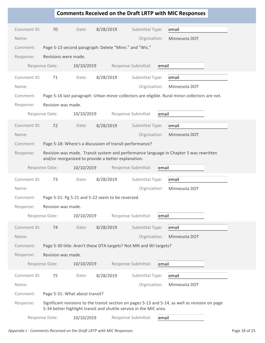|             |                      |                                                     |                                                                    | <b>Comments Received on the Draft LRTP with MIC Responses</b>                                    |
|-------------|----------------------|-----------------------------------------------------|--------------------------------------------------------------------|--------------------------------------------------------------------------------------------------|
|             |                      |                                                     |                                                                    |                                                                                                  |
| Comment ID: | 70                   | Date:                                               | 8/28/2019<br>Submittal Type:                                       | email                                                                                            |
| Name:       |                      |                                                     | Orgnization:                                                       | Minnesota DOT                                                                                    |
| Comment:    |                      |                                                     | Page 5-13 second paragraph: Delete "Minn." and "Wis."              |                                                                                                  |
| Response:   | Revisions were made. |                                                     |                                                                    |                                                                                                  |
|             | Response Date:       | 10/10/2019                                          | Response Submittal:                                                | email                                                                                            |
| Comment ID: | 71                   | Date:                                               | 8/28/2019<br>Submittal Type:                                       | email                                                                                            |
| Name:       |                      |                                                     | Orgnization:                                                       | Minnesota DOT                                                                                    |
| Comment:    |                      |                                                     |                                                                    | Page 5-16 last paragraph: Urban minor collectors are eligible. Rural minor collectors are not.   |
| Response:   | Revision was made.   |                                                     |                                                                    |                                                                                                  |
|             | Response Date:       | 10/10/2019                                          | Response Submittal:                                                | email                                                                                            |
| Comment ID: | 72                   | Date:                                               | 8/28/2019<br>Submittal Type:                                       | email                                                                                            |
| Name:       |                      |                                                     | Orgnization:                                                       | Minnesota DOT                                                                                    |
| Comment:    |                      |                                                     | Page 5-18: Where's a discussion of transit performance?            |                                                                                                  |
| Response:   |                      |                                                     |                                                                    | Revision was made. Transit system and performance language in Chapter 5 was rewritten            |
|             |                      | and/or reorganized to provide a better explanation. |                                                                    |                                                                                                  |
|             | Response Date:       | 10/10/2019                                          | Response Submittal:                                                | email                                                                                            |
| Comment ID: | 73                   | Date:                                               | 8/28/2019<br>Submittal Type:                                       | email                                                                                            |
| Name:       |                      |                                                     | Orgnization:                                                       | Minnesota DOT                                                                                    |
| Comment:    |                      | Page 5-21: Pg 5-21 and 5-22 seem to be reversed.    |                                                                    |                                                                                                  |
| Response:   | Revision was made.   |                                                     |                                                                    |                                                                                                  |
|             | Response Date:       | 10/10/2019                                          | Response Submittal:                                                | email                                                                                            |
| Comment ID: | 74                   | Date:                                               | 8/28/2019<br>Submittal Type:                                       | email                                                                                            |
| Name:       |                      |                                                     | Orgnization:                                                       | Minnesota DOT                                                                                    |
| Comment:    |                      |                                                     | Page 5-30 title: Aren't these DTA targets? Not MN and WI targets?  |                                                                                                  |
| Response:   | Revision was made.   |                                                     |                                                                    |                                                                                                  |
|             | Response Date:       | 10/10/2019                                          | Response Submittal:                                                | email                                                                                            |
| Comment ID: | 75                   | Date:                                               | 8/28/2019<br>Submittal Type:                                       | email                                                                                            |
| Name:       |                      |                                                     | Orgnization:                                                       | Minnesota DOT                                                                                    |
| Comment:    |                      | Page 5-31: What about transit?                      |                                                                    |                                                                                                  |
| Response:   |                      |                                                     |                                                                    | Significant revisions to the transit section on pages 5-13 and 5-14, as well as revision on page |
|             |                      |                                                     | 5-34 better highlight transit and shuttle service in the MIC area. |                                                                                                  |
|             | Response Date:       | 10/10/2019                                          | Response Submittal:                                                | email                                                                                            |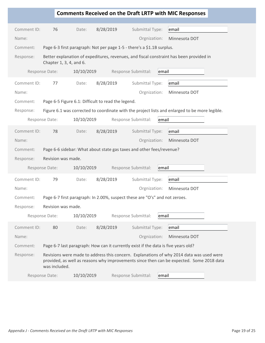## **Comments Received on the Draft LRTP with MIC Responses** Comment ID: 76 Date: 8/28/2019 Submittal Type: Name: Orgnization: Minnesota DOT Comment: Page 6-3 first paragraph: Not per page 1-5 - there's a \$1.1B surplus. Response: Better explanation of expeditures, revenues, and fiscal constraint has been provided in Chapter 1, 3, 4, and 6. Response Date: 10/10/2019 Response Submittal: email email Comment ID: 77 Date: 8/28/2019 Submittal Type: Name: Orgnization: Minnesota DOT Comment: Page 6-5 Figure 6.1: Difficult to read the legend. Response: Figure 6.1 was corrected to coordinate with the project lists and enlarged to be more legible. Response Date: 10/10/2019 Response Submittal: email email Comment ID: 78 Date: 8/28/2019 Submittal Type: Name: Orgnization: Minnesota DOT Comment: Page 6-6 sidebar: What about state gas taxes and other fees/revenue? Response: Revision was made. Response Date: 10/10/2019 Response Submittal: email email Comment ID: 79 Date: 8/28/2019 Submittal Type: Name: Orgnization: Minnesota DOT Comment: Page 6-7 first paragraph: In 2.00%, suspect these are "O's" and not zeroes. Response: Revision was made. Response Date:  $10/10/2019$  Response Submittal: email email Comment ID: 80 Date: 8/28/2019 Submittal Type: Name: Orgnization: Minnesota DOT Comment: Page 6-7 last paragraph: How can it currently exist if the data is five years old? Response: Revisions were made to address this concern. Explanations of why 2014 data was used were provided, as well as reasons why improvements since then can be expected. Some 2018 data was included. Response Date: 10/10/2019 Response Submittal: email email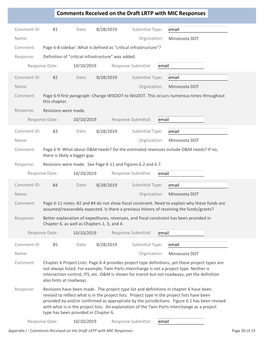|                                                                                                                       |                               |                                                                 |           |                     |       | <b>Comments Received on the Draft LRTP with MIC Responses</b>                                                                                                                                                                                                                                                                                                                            |  |
|-----------------------------------------------------------------------------------------------------------------------|-------------------------------|-----------------------------------------------------------------|-----------|---------------------|-------|------------------------------------------------------------------------------------------------------------------------------------------------------------------------------------------------------------------------------------------------------------------------------------------------------------------------------------------------------------------------------------------|--|
| Comment ID:                                                                                                           | 81                            | Date:                                                           | 8/28/2019 | Submittal Type:     |       | email                                                                                                                                                                                                                                                                                                                                                                                    |  |
| Name:                                                                                                                 |                               |                                                                 |           | Orgnization:        |       | Minnesota DOT                                                                                                                                                                                                                                                                                                                                                                            |  |
|                                                                                                                       |                               |                                                                 |           |                     |       |                                                                                                                                                                                                                                                                                                                                                                                          |  |
| Comment:                                                                                                              |                               | Page 6-8 sidebar: What is defined as "critical infrastructure"? |           |                     |       |                                                                                                                                                                                                                                                                                                                                                                                          |  |
| Response:                                                                                                             |                               | Definition of "critical infrastructure" was added.              |           |                     |       |                                                                                                                                                                                                                                                                                                                                                                                          |  |
|                                                                                                                       | Response Date:                | 10/10/2019                                                      |           | Response Submittal: | email |                                                                                                                                                                                                                                                                                                                                                                                          |  |
| Comment ID:                                                                                                           | 82                            | Date:                                                           | 8/28/2019 | Submittal Type:     |       | email                                                                                                                                                                                                                                                                                                                                                                                    |  |
| Name:                                                                                                                 |                               |                                                                 |           | Orgnization:        |       | Minnesota DOT                                                                                                                                                                                                                                                                                                                                                                            |  |
| Page 6-9 first paragraph: Change WISDOT to WisDOT. This occurs numerous times throughout<br>Comment:<br>this chapter. |                               |                                                                 |           |                     |       |                                                                                                                                                                                                                                                                                                                                                                                          |  |
| Response:                                                                                                             | Revisions were made.          |                                                                 |           |                     |       |                                                                                                                                                                                                                                                                                                                                                                                          |  |
|                                                                                                                       | Response Date:                | 10/10/2019                                                      |           | Response Submittal: | email |                                                                                                                                                                                                                                                                                                                                                                                          |  |
| Comment ID:                                                                                                           | 83                            | Date:                                                           | 8/28/2019 | Submittal Type:     |       | email                                                                                                                                                                                                                                                                                                                                                                                    |  |
| Name:                                                                                                                 |                               |                                                                 |           | Orgnization:        |       | Minnesota DOT                                                                                                                                                                                                                                                                                                                                                                            |  |
| Comment:                                                                                                              | there is likely a bigger gap. |                                                                 |           |                     |       | Page 6-9: What about O&M needs? Do the estimated revenues include O&M needs? If no,                                                                                                                                                                                                                                                                                                      |  |
| Response:                                                                                                             |                               | Revisions were made. See Page 6-11 and Figures 6.2 and 6.7.     |           |                     |       |                                                                                                                                                                                                                                                                                                                                                                                          |  |
|                                                                                                                       | Response Date:                | 10/10/2019                                                      |           | Response Submittal: | email |                                                                                                                                                                                                                                                                                                                                                                                          |  |
| Comment ID:                                                                                                           | 84                            | Date:                                                           | 8/28/2019 | Submittal Type:     |       | email                                                                                                                                                                                                                                                                                                                                                                                    |  |
| Name:                                                                                                                 |                               |                                                                 |           | Orgnization:        |       | Minnesota DOT                                                                                                                                                                                                                                                                                                                                                                            |  |
| Comment:                                                                                                              |                               |                                                                 |           |                     |       | Page 6-11 notes: #2 and #4 do not show fiscal constraint. Need to explain why these funds are<br>assumed/reasonably expected. Is there a previous history of receiving the funds/grants?                                                                                                                                                                                                 |  |
| Response:                                                                                                             |                               | Chapter 6, as well as Chapters 1, 3, and 4.                     |           |                     |       | Better explanation of expeditures, revenues, and fiscal constraint has been provided in                                                                                                                                                                                                                                                                                                  |  |
|                                                                                                                       | Response Date:                | 10/10/2019                                                      |           | Response Submittal: | email |                                                                                                                                                                                                                                                                                                                                                                                          |  |
| Comment ID:                                                                                                           | 85                            | Date:                                                           | 8/28/2019 | Submittal Type:     |       | email                                                                                                                                                                                                                                                                                                                                                                                    |  |
| Name:                                                                                                                 |                               |                                                                 |           | Orgnization:        |       | Minnesota DOT                                                                                                                                                                                                                                                                                                                                                                            |  |
| Comment:                                                                                                              | also hints at roadways.       |                                                                 |           |                     |       | Chapter 6 Project Lists: Page 6-4 provides project type definitions, yet these project types are<br>not always listed. For example, Twin Ports Interchange is not a project type. Neither is<br>intersection control, ITS, etc. O&M is shown for transit but not roadways, yet the definition                                                                                            |  |
| Response:                                                                                                             |                               | type has been provided in Chapter 6.                            |           |                     |       | Revisions have been made. The project type list and definitions in chapter 6 have been<br>revised to reflect what is in the project lists. Project type in the project lists have been<br>provided by and/or confirmed as appropriate by the jurisidictions. Figure 6.1 has been revised<br>with what is in the project lists. An explanation of the Twin Ports Interchange as a project |  |
|                                                                                                                       | Response Date:                | 10/10/2019                                                      |           | Response Submittal: | email |                                                                                                                                                                                                                                                                                                                                                                                          |  |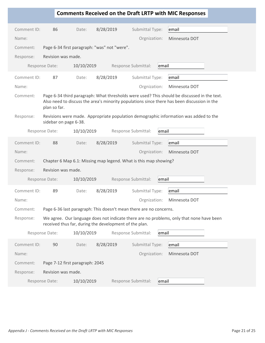|             |                       |                                                        |           |                                                                    | <b>Comments Received on the Draft LRTP with MIC Responses</b>                                                                                                                              |
|-------------|-----------------------|--------------------------------------------------------|-----------|--------------------------------------------------------------------|--------------------------------------------------------------------------------------------------------------------------------------------------------------------------------------------|
| Comment ID: | 86                    | Date:                                                  | 8/28/2019 | Submittal Type:                                                    | email                                                                                                                                                                                      |
| Name:       |                       |                                                        |           | Orgnization:                                                       | Minnesota DOT                                                                                                                                                                              |
| Comment:    |                       | Page 6-34 first paragraph: "was" not "were".           |           |                                                                    |                                                                                                                                                                                            |
| Response:   | Revision was made.    |                                                        |           |                                                                    |                                                                                                                                                                                            |
|             | Response Date:        | 10/10/2019                                             |           | Response Submittal:                                                | email                                                                                                                                                                                      |
| Comment ID: | 87                    | Date:                                                  | 8/28/2019 | Submittal Type:                                                    | email                                                                                                                                                                                      |
| Name:       |                       |                                                        |           | Orgnization:                                                       | Minnesota DOT                                                                                                                                                                              |
| Comment:    | plan so far.          |                                                        |           |                                                                    | Page 6-34 third paragraph: What thresholds were used? This should be discussed in the text.<br>Also need to discuss the area's minority populations since there has been discussion in the |
| Response:   | sidebar on page 6-38. |                                                        |           |                                                                    | Revisions were made. Appropriate population demographic information was added to the                                                                                                       |
|             | Response Date:        | 10/10/2019                                             |           | Response Submittal:                                                | email                                                                                                                                                                                      |
| Comment ID: | 88                    | Date:                                                  | 8/28/2019 | Submittal Type:                                                    | email                                                                                                                                                                                      |
| Name:       |                       |                                                        |           | Orgnization:                                                       | Minnesota DOT                                                                                                                                                                              |
| Comment:    |                       |                                                        |           | Chapter 6 Map 6.1: Missing map legend. What is this map showing?   |                                                                                                                                                                                            |
| Response:   | Revision was made.    |                                                        |           |                                                                    |                                                                                                                                                                                            |
|             | Response Date:        | 10/10/2019                                             |           | Response Submittal:                                                | email                                                                                                                                                                                      |
| Comment ID: | 89                    | Date:                                                  | 8/28/2019 | Submittal Type:                                                    | email                                                                                                                                                                                      |
| Name:       |                       |                                                        |           | Orgnization:                                                       | Minnesota DOT                                                                                                                                                                              |
| Comment:    |                       |                                                        |           | Page 6-36 last paragraph: This doesn't mean there are no concerns. |                                                                                                                                                                                            |
| Response:   |                       | received thus far, during the development of the plan. |           |                                                                    | We agree. Our language does not indicate there are no problems, only that none have been                                                                                                   |
|             | Response Date:        | 10/10/2019                                             |           | Response Submittal:                                                | email                                                                                                                                                                                      |
| Comment ID: | 90                    | Date:                                                  | 8/28/2019 | Submittal Type:                                                    | email                                                                                                                                                                                      |
| Name:       |                       |                                                        |           | Orgnization:                                                       | Minnesota DOT                                                                                                                                                                              |
| Comment:    |                       | Page 7-12 first paragraph: 2045                        |           |                                                                    |                                                                                                                                                                                            |
| Response:   | Revision was made.    |                                                        |           |                                                                    |                                                                                                                                                                                            |
|             | Response Date:        | 10/10/2019                                             |           | Response Submittal:                                                | email                                                                                                                                                                                      |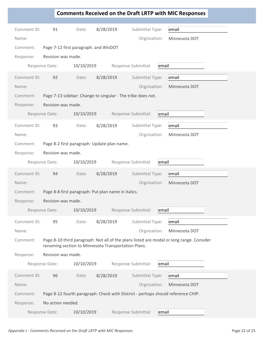|             |                    |                                                                                  |           |                     |       | <b>Comments Received on the Draft LRTP with MIC Responses</b>                            |
|-------------|--------------------|----------------------------------------------------------------------------------|-----------|---------------------|-------|------------------------------------------------------------------------------------------|
| Comment ID: | 91                 | Date:                                                                            | 8/28/2019 | Submittal Type:     |       | email                                                                                    |
| Name:       |                    |                                                                                  |           | Orgnization:        |       | Minnesota DOT                                                                            |
| Comment:    |                    | Page 7-12 first paragraph: and WisDOT                                            |           |                     |       |                                                                                          |
| Response:   | Revision was made. |                                                                                  |           |                     |       |                                                                                          |
|             | Response Date:     | 10/10/2019                                                                       |           | Response Submittal: | email |                                                                                          |
| Comment ID: | 92                 | Date:                                                                            | 8/28/2019 | Submittal Type:     |       | email                                                                                    |
| Name:       |                    |                                                                                  |           | Orgnization:        |       | Minnesota DOT                                                                            |
| Comment:    |                    | Page 7-13 sidebar: Change to singular - The tribe does not.                      |           |                     |       |                                                                                          |
| Response:   | Revision was made. |                                                                                  |           |                     |       |                                                                                          |
|             | Response Date:     | 10/10/2019                                                                       |           | Response Submittal: | email |                                                                                          |
| Comment ID: | 93                 | Date:                                                                            | 8/28/2019 | Submittal Type:     |       | email                                                                                    |
| Name:       |                    |                                                                                  |           | Orgnization:        |       | Minnesota DOT                                                                            |
| Comment:    |                    | Page 8-2 first paragraph: Update plan name.                                      |           |                     |       |                                                                                          |
| Response:   | Revision was made. |                                                                                  |           |                     |       |                                                                                          |
|             | Response Date:     | 10/10/2019                                                                       |           | Response Submittal: | email |                                                                                          |
| Comment ID: | 94                 | Date:                                                                            | 8/28/2019 | Submittal Type:     |       | email                                                                                    |
| Name:       |                    |                                                                                  |           | Orgnization:        |       | Minnesota DOT                                                                            |
| Comment:    |                    | Page 8-8 first paragraph: Put plan name in italics.                              |           |                     |       |                                                                                          |
| Response:   | Revision was made. |                                                                                  |           |                     |       |                                                                                          |
|             | Response Date:     | 10/10/2019                                                                       |           | Response Submittal: | email |                                                                                          |
| Comment ID: | 95                 | Date:                                                                            | 8/28/2019 | Submittal Type:     |       | email                                                                                    |
| Name:       |                    |                                                                                  |           | Orgnization:        |       | Minnesota DOT                                                                            |
| Comment:    |                    | renaming section to Minnesota Transportation Plans.                              |           |                     |       | Page 8-10 third paragraph: Not all of the plans listed are modal or long range. Consider |
| Response:   | Revision was made. |                                                                                  |           |                     |       |                                                                                          |
|             | Response Date:     | 10/10/2019                                                                       |           | Response Submittal: | email |                                                                                          |
|             |                    |                                                                                  |           |                     |       |                                                                                          |
| Comment ID: | 96                 | Date:                                                                            | 8/28/2019 | Submittal Type:     |       | email                                                                                    |
| Name:       |                    |                                                                                  |           | Orgnization:        |       | Minnesota DOT                                                                            |
| Comment:    |                    | Page 8-12 fourth paragraph: Check with District - perhaps should reference CHIP. |           |                     |       |                                                                                          |
| Response:   | No action needed.  |                                                                                  |           |                     |       |                                                                                          |
|             | Response Date:     | 10/10/2019                                                                       |           | Response Submittal: | email |                                                                                          |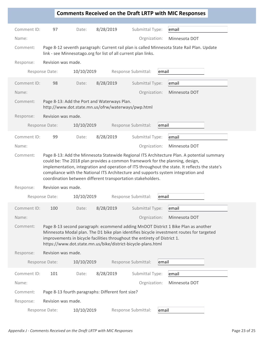|                      |                                                                                                                                                                                                                                                                                                                                                                                                                                   |                                                                                                                                           |           |                                 |       | <b>Comments Received on the Draft LRTP with MIC Responses</b>                                                                                                                 |  |
|----------------------|-----------------------------------------------------------------------------------------------------------------------------------------------------------------------------------------------------------------------------------------------------------------------------------------------------------------------------------------------------------------------------------------------------------------------------------|-------------------------------------------------------------------------------------------------------------------------------------------|-----------|---------------------------------|-------|-------------------------------------------------------------------------------------------------------------------------------------------------------------------------------|--|
| Comment ID:          | 97                                                                                                                                                                                                                                                                                                                                                                                                                                | Date:                                                                                                                                     | 8/28/2019 | Submittal Type:                 |       | email                                                                                                                                                                         |  |
| Name:                |                                                                                                                                                                                                                                                                                                                                                                                                                                   |                                                                                                                                           |           | Orgnization:                    |       | Minnesota DOT                                                                                                                                                                 |  |
| Comment:             |                                                                                                                                                                                                                                                                                                                                                                                                                                   | link - see Minnesotago.org for list of all current plan links.                                                                            |           |                                 |       | Page 8-12 seventh paragraph: Current rail plan is called Minnesota State Rail Plan. Update                                                                                    |  |
| Response:            | Revision was made.                                                                                                                                                                                                                                                                                                                                                                                                                |                                                                                                                                           |           |                                 |       |                                                                                                                                                                               |  |
|                      | Response Date:                                                                                                                                                                                                                                                                                                                                                                                                                    | 10/10/2019                                                                                                                                |           | Response Submittal:             | email |                                                                                                                                                                               |  |
| Comment ID:<br>Name: | 98                                                                                                                                                                                                                                                                                                                                                                                                                                | Date:                                                                                                                                     | 8/28/2019 | Submittal Type:<br>Orgnization: |       | email<br>Minnesota DOT                                                                                                                                                        |  |
| Comment:             |                                                                                                                                                                                                                                                                                                                                                                                                                                   | Page 8-13: Add the Port and Waterways Plan.<br>http://www.dot.state.mn.us/ofrw/waterways/pwp.html                                         |           |                                 |       |                                                                                                                                                                               |  |
| Response:            | Revision was made.                                                                                                                                                                                                                                                                                                                                                                                                                |                                                                                                                                           |           |                                 |       |                                                                                                                                                                               |  |
|                      | Response Date:                                                                                                                                                                                                                                                                                                                                                                                                                    | 10/10/2019                                                                                                                                |           | Response Submittal:             | email |                                                                                                                                                                               |  |
| Comment ID:          | 99                                                                                                                                                                                                                                                                                                                                                                                                                                | Date:                                                                                                                                     | 8/28/2019 | Submittal Type:                 |       | email                                                                                                                                                                         |  |
| Name:                |                                                                                                                                                                                                                                                                                                                                                                                                                                   |                                                                                                                                           |           | Orgnization:                    |       | Minnesota DOT                                                                                                                                                                 |  |
| Comment:             | Page 8-13: Add the Minnesota Statewide Regional ITS Architecture Plan. A potential summary<br>could be: The 2018 plan provides a common framework for the planning, design,<br>implementation, integration and operation of ITS throughout the state. It reflects the state's<br>compliance with the National ITS Architecture and supports system integration and<br>coordination between different transportation stakeholders. |                                                                                                                                           |           |                                 |       |                                                                                                                                                                               |  |
| Response:            | Revision was made.                                                                                                                                                                                                                                                                                                                                                                                                                |                                                                                                                                           |           |                                 |       |                                                                                                                                                                               |  |
|                      | Response Date:                                                                                                                                                                                                                                                                                                                                                                                                                    | 10/10/2019                                                                                                                                |           | Response Submittal:             | email |                                                                                                                                                                               |  |
| Comment ID:          | 100                                                                                                                                                                                                                                                                                                                                                                                                                               | Date:                                                                                                                                     | 8/28/2019 | Submittal Type:                 |       | email                                                                                                                                                                         |  |
| Name:                |                                                                                                                                                                                                                                                                                                                                                                                                                                   |                                                                                                                                           |           | Orgnization:                    |       | Minnesota DOT                                                                                                                                                                 |  |
| Comment:             |                                                                                                                                                                                                                                                                                                                                                                                                                                   | improvements in bicycle facilities throughout the entirety of District 1.<br>https://www.dot.state.mn.us/bike/district-bicycle-plans.html |           |                                 |       | Page 8-13 second paragraph: ecommend adding MnDOT District 1 Bike Plan as another<br>Minnesota Modal plan. The D1 bike plan identifies bicycle investment routes for targeted |  |
| Response:            | Revision was made.                                                                                                                                                                                                                                                                                                                                                                                                                |                                                                                                                                           |           |                                 |       |                                                                                                                                                                               |  |
|                      | Response Date:                                                                                                                                                                                                                                                                                                                                                                                                                    | 10/10/2019                                                                                                                                |           | Response Submittal:             | email |                                                                                                                                                                               |  |
| Comment ID:          | 101                                                                                                                                                                                                                                                                                                                                                                                                                               | Date:                                                                                                                                     | 8/28/2019 | Submittal Type:                 |       | email                                                                                                                                                                         |  |
| Name:                |                                                                                                                                                                                                                                                                                                                                                                                                                                   |                                                                                                                                           |           | Orgnization:                    |       | Minnesota DOT                                                                                                                                                                 |  |
| Comment:             |                                                                                                                                                                                                                                                                                                                                                                                                                                   | Page 8-13 fourth paragraphs: Different font size?                                                                                         |           |                                 |       |                                                                                                                                                                               |  |
| Response:            | Revision was made.                                                                                                                                                                                                                                                                                                                                                                                                                |                                                                                                                                           |           |                                 |       |                                                                                                                                                                               |  |
|                      | Response Date:                                                                                                                                                                                                                                                                                                                                                                                                                    | 10/10/2019                                                                                                                                |           | Response Submittal:             | email |                                                                                                                                                                               |  |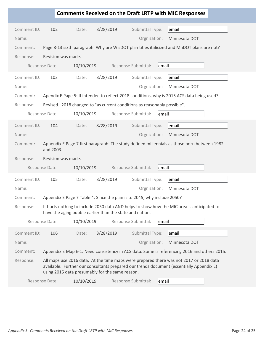|             |                    |                                                                          |           |                     |       | <b>Comments Received on the Draft LRTP with MIC Responses</b>                                                                                                                      |
|-------------|--------------------|--------------------------------------------------------------------------|-----------|---------------------|-------|------------------------------------------------------------------------------------------------------------------------------------------------------------------------------------|
| Comment ID: | 102                | Date:                                                                    | 8/28/2019 | Submittal Type:     |       | email                                                                                                                                                                              |
| Name:       |                    |                                                                          |           | Orgnization:        |       | Minnesota DOT                                                                                                                                                                      |
| Comment:    |                    |                                                                          |           |                     |       | Page 8-13 sixth paragraph: Why are WisDOT plan titles italicized and MnDOT plans are not?                                                                                          |
| Response:   | Revision was made. |                                                                          |           |                     |       |                                                                                                                                                                                    |
|             | Response Date:     | 10/10/2019                                                               |           | Response Submittal: | email |                                                                                                                                                                                    |
| Comment ID: | 103                | Date:                                                                    | 8/28/2019 | Submittal Type:     |       | email                                                                                                                                                                              |
| Name:       |                    |                                                                          |           | Orgnization:        |       | Minnesota DOT                                                                                                                                                                      |
| Comment:    |                    |                                                                          |           |                     |       | Apendix E Page 5: If intended to reflect 2018 conditions, why is 2015 ACS data being used?                                                                                         |
| Response:   |                    | Revised. 2018 changed to "as current conditions as reasonably possible". |           |                     |       |                                                                                                                                                                                    |
|             | Response Date:     | 10/10/2019                                                               |           | Response Submittal: | email |                                                                                                                                                                                    |
| Comment ID: | 104                | Date:                                                                    | 8/28/2019 | Submittal Type:     |       | email                                                                                                                                                                              |
| Name:       |                    |                                                                          |           | Orgnization:        |       | Minnesota DOT                                                                                                                                                                      |
| Comment:    | and 2003.          |                                                                          |           |                     |       | Appendix E Page 7 first paragraph: The study defined millennials as those born between 1982                                                                                        |
| Response:   | Revision was made. |                                                                          |           |                     |       |                                                                                                                                                                                    |
|             | Response Date:     | 10/10/2019                                                               |           | Response Submittal: | email |                                                                                                                                                                                    |
| Comment ID: | 105                | Date:                                                                    | 8/28/2019 | Submittal Type:     |       | email                                                                                                                                                                              |
| Name:       |                    |                                                                          |           | Orgnization:        |       | Minnesota DOT                                                                                                                                                                      |
| Comment:    |                    | Appendix E Page 7 Table 4: Since the plan is to 2045, why include 2050?  |           |                     |       |                                                                                                                                                                                    |
| Response:   |                    | have the aging bubble earlier than the state and nation.                 |           |                     |       | It hurts nothing to include 2050 data AND helps to show how the MIC area is anticipated to                                                                                         |
|             | Response Date:     | 10/10/2019                                                               |           | Response Submittal: | email |                                                                                                                                                                                    |
| Comment ID: | 106                | Date:                                                                    | 8/28/2019 | Submittal Type:     |       | email                                                                                                                                                                              |
| Name:       |                    |                                                                          |           | Orgnization:        |       | Minnesota DOT                                                                                                                                                                      |
| Comment:    |                    |                                                                          |           |                     |       | Appendix E Map E-1: Need consistency in ACS data. Some is referencing 2016 and others 2015.                                                                                        |
| Response:   |                    | using 2015 data presumably for the same reason.                          |           |                     |       | All maps use 2016 data. At the time maps were prepared there was not 2017 or 2018 data<br>available. Further our consultants prepared our trends document (essentially Appendix E) |
|             | Response Date:     | 10/10/2019                                                               |           | Response Submittal: | email |                                                                                                                                                                                    |